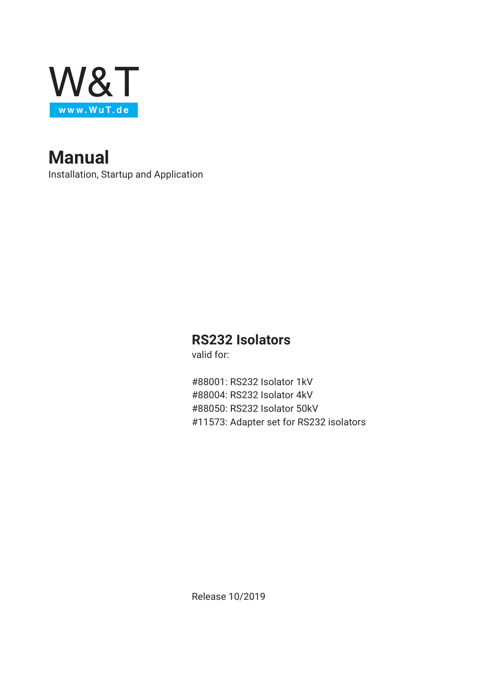

**Manual** Installation, Startup and Application

## **RS232 Isolators**

valid for:

#88001: RS232 Isolator 1kV #88004: RS232 Isolator 4kV #88050: RS232 Isolator 50kV #11573: Adapter set for RS232 isolators

Release 10/2019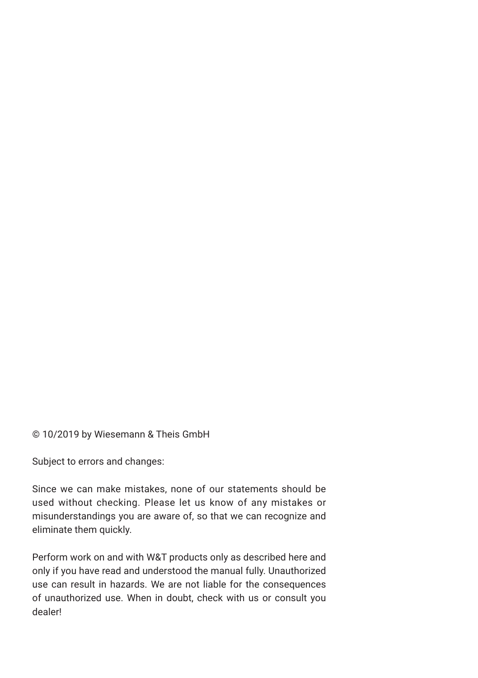© 10/2019 by Wiesemann & Theis GmbH

Subject to errors and changes:

Since we can make mistakes, none of our statements should be used without checking. Please let us know of any mistakes or misunderstandings you are aware of, so that we can recognize and eliminate them quickly.

Perform work on and with W&T products only as described here and only if you have read and understood the manual fully. Unauthorized use can result in hazards. We are not liable for the consequences of unauthorized use. When in doubt, check with us or consult you dealer!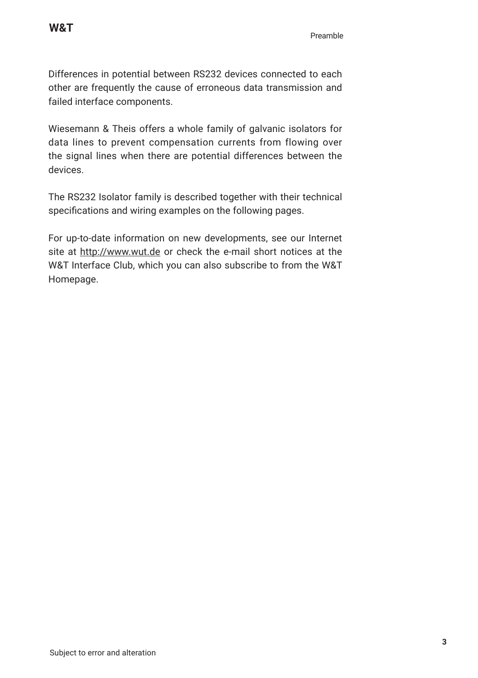Differences in potential between RS232 devices connected to each other are frequently the cause of erroneous data transmission and failed interface components.

Wiesemann & Theis offers a whole family of galvanic isolators for data lines to prevent compensation currents from flowing over the signal lines when there are potential differences between the devices.

The RS232 Isolator family is described together with their technical specifications and wiring examples on the following pages.

For up-to-date information on new developments, see our Internet site at http://www.wut.de or check the e-mail short notices at the W&T Interface Club, which you can also subscribe to from the W&T Homepage.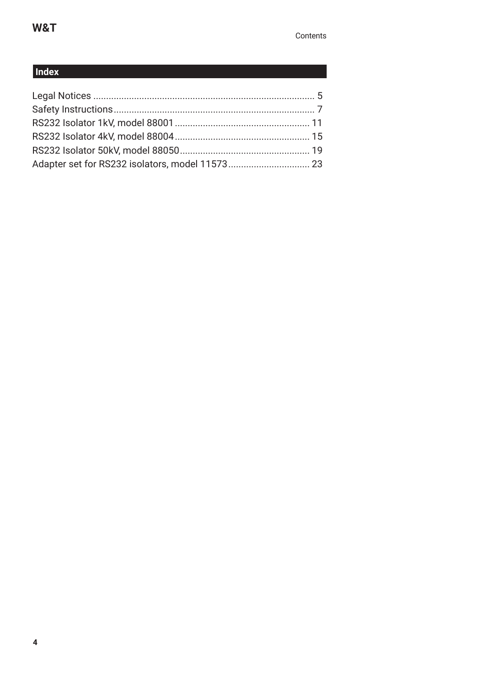### **Index**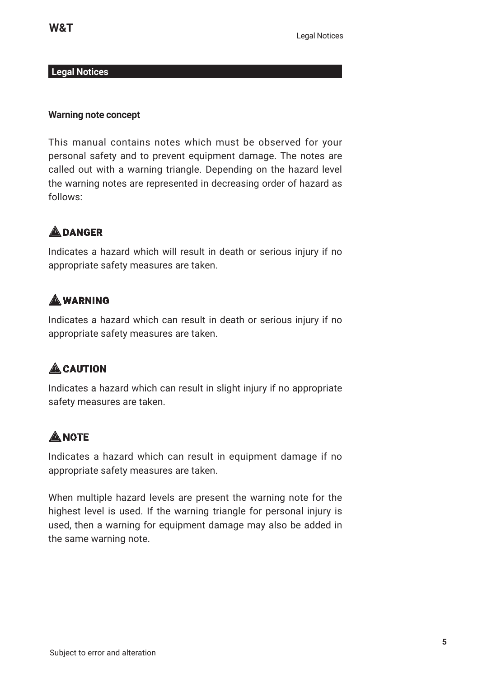#### **Legal Notices**

#### **Warning note concept**

This manual contains notes which must be observed for your personal safety and to prevent equipment damage. The notes are called out with a warning triangle. Depending on the hazard level the warning notes are represented in decreasing order of hazard as follows:

## 1**DANGER**

Indicates a hazard which will result in death or serious injury if no appropriate safety measures are taken.

# 1**WARNING**

Indicates a hazard which can result in death or serious injury if no appropriate safety measures are taken.

# $A$ CAUTION

Indicates a hazard which can result in slight injury if no appropriate safety measures are taken.

# **A**MOTE

Indicates a hazard which can result in equipment damage if no appropriate safety measures are taken.

When multiple hazard levels are present the warning note for the highest level is used. If the warning triangle for personal injury is used, then a warning for equipment damage may also be added in the same warning note.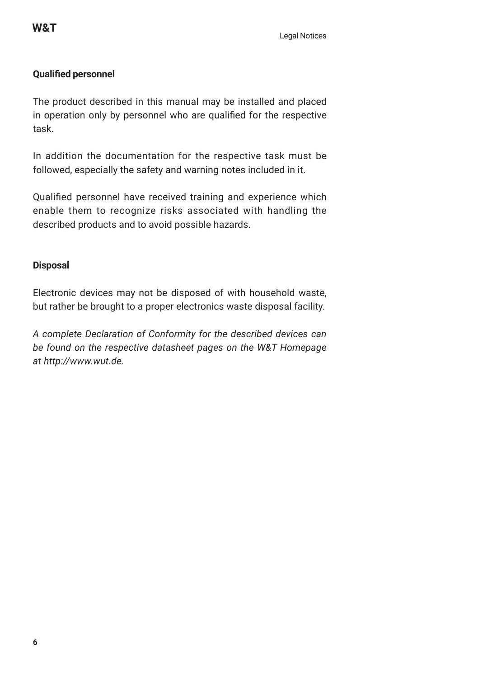### **Qualified personnel**

The product described in this manual may be installed and placed in operation only by personnel who are qualified for the respective task.

In addition the documentation for the respective task must be followed, especially the safety and warning notes included in it.

Qualified personnel have received training and experience which enable them to recognize risks associated with handling the described products and to avoid possible hazards.

#### **Disposal**

Electronic devices may not be disposed of with household waste, but rather be brought to a proper electronics waste disposal facility.

*A complete Declaration of Conformity for the described devices can be found on the respective datasheet pages on the W&T Homepage at http://www.wut.de.*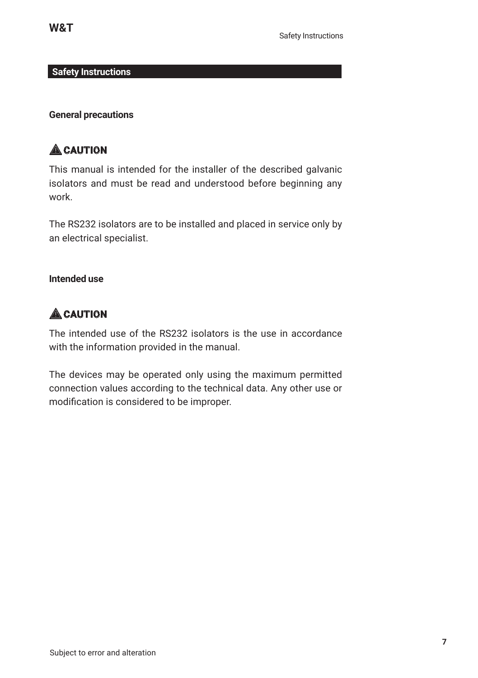#### **Safety Instructions**

#### **General precautions**

# $A$ CAUTION

This manual is intended for the installer of the described galvanic isolators and must be read and understood before beginning any work.

The RS232 isolators are to be installed and placed in service only by an electrical specialist.

### **Intended use**

# $A$ CAUTION

The intended use of the RS232 isolators is the use in accordance with the information provided in the manual.

The devices may be operated only using the maximum permitted connection values according to the technical data. Any other use or modification is considered to be improper.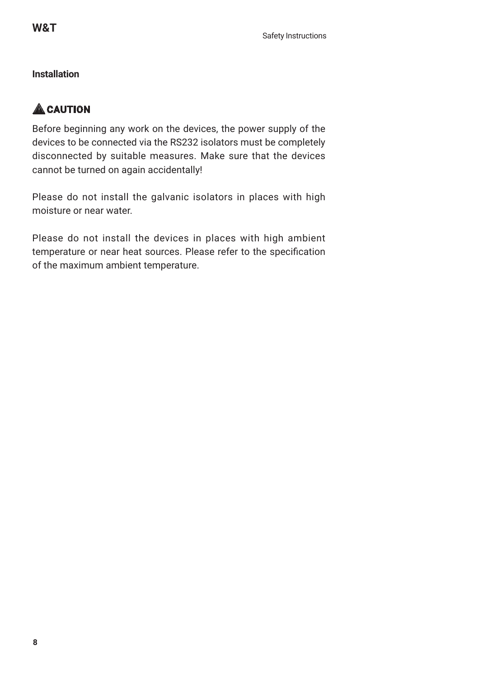### **Installation**

## $A$ CAUTION

Before beginning any work on the devices, the power supply of the devices to be connected via the RS232 isolators must be completely disconnected by suitable measures. Make sure that the devices cannot be turned on again accidentally!

Please do not install the galvanic isolators in places with high moisture or near water.

Please do not install the devices in places with high ambient temperature or near heat sources. Please refer to the specification of the maximum ambient temperature.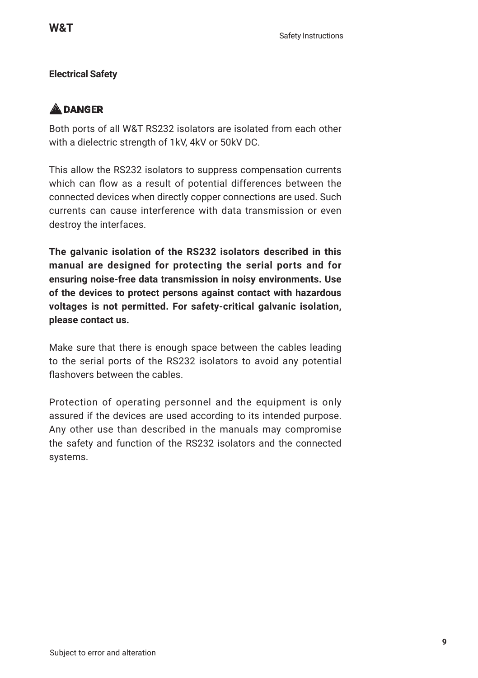### **Electrical Safety**

# 1**DANGER**

Both ports of all W&T RS232 isolators are isolated from each other with a dielectric strength of 1kV, 4kV or 50kV DC.

This allow the RS232 isolators to suppress compensation currents which can flow as a result of potential differences between the connected devices when directly copper connections are used. Such currents can cause interference with data transmission or even destroy the interfaces.

**The galvanic isolation of the RS232 isolators described in this manual are designed for protecting the serial ports and for ensuring noise-free data transmission in noisy environments. Use of the devices to protect persons against contact with hazardous voltages is not permitted. For safety-critical galvanic isolation, please contact us.**

Make sure that there is enough space between the cables leading to the serial ports of the RS232 isolators to avoid any potential flashovers between the cables.

Protection of operating personnel and the equipment is only assured if the devices are used according to its intended purpose. Any other use than described in the manuals may compromise the safety and function of the RS232 isolators and the connected systems.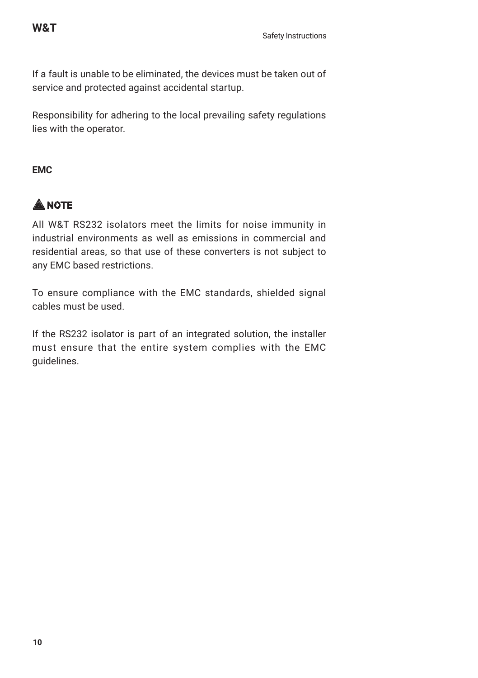If a fault is unable to be eliminated, the devices must be taken out of service and protected against accidental startup.

Responsibility for adhering to the local prevailing safety regulations lies with the operator.

### **EMC**

# **ANOTE**

All W&T RS232 isolators meet the limits for noise immunity in industrial environments as well as emissions in commercial and residential areas, so that use of these converters is not subject to any EMC based restrictions.

To ensure compliance with the EMC standards, shielded signal cables must be used.

If the RS232 isolator is part of an integrated solution, the installer must ensure that the entire system complies with the EMC guidelines.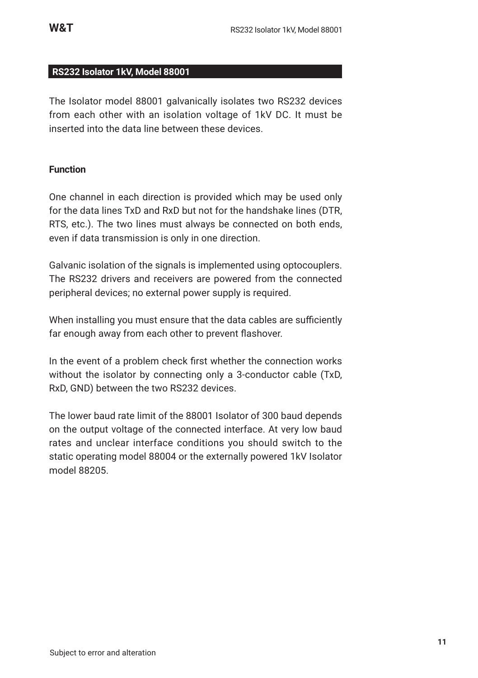#### **RS232 Isolator 1kV, Model 88001**

The Isolator model 88001 galvanically isolates two RS232 devices from each other with an isolation voltage of 1kV DC. It must be inserted into the data line between these devices.

#### **Function**

One channel in each direction is provided which may be used only for the data lines TxD and RxD but not for the handshake lines (DTR, RTS, etc.). The two lines must always be connected on both ends, even if data transmission is only in one direction.

Galvanic isolation of the signals is implemented using optocouplers. The RS232 drivers and receivers are powered from the connected peripheral devices; no external power supply is required.

When installing you must ensure that the data cables are sufficiently far enough away from each other to prevent flashover.

In the event of a problem check first whether the connection works without the isolator by connecting only a 3-conductor cable (TxD, RxD, GND) between the two RS232 devices.

The lower baud rate limit of the 88001 Isolator of 300 baud depends on the output voltage of the connected interface. At very low baud rates and unclear interface conditions you should switch to the static operating model 88004 or the externally powered 1kV Isolator model 88205.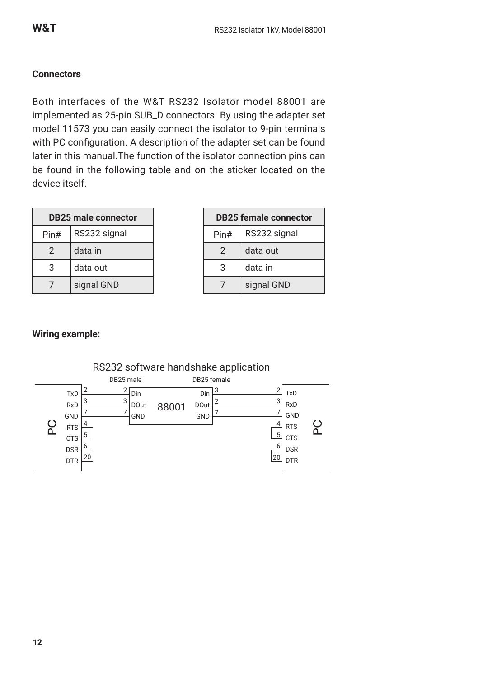#### **Connectors**

Both interfaces of the W&T RS232 Isolator model 88001 are implemented as 25-pin SUB\_D connectors. By using the adapter set model 11573 you can easily connect the isolator to 9-pin terminals with PC configuration. A description of the adapter set can be found later in this manual.The function of the isolator connection pins can be found in the following table and on the sticker located on the device itself.

| <b>DB25 male connector</b> |              |
|----------------------------|--------------|
| Pin#                       | RS232 signal |
| 2                          | data in      |
| 3                          | data out     |
|                            | signal GND   |

| <b>DB25 female connector</b> |              |
|------------------------------|--------------|
| Pin#                         | RS232 signal |
| 2                            | data out     |
| 3                            | data in      |
|                              | signal GND   |

#### **Wiring example:**



#### RS232 software handshake application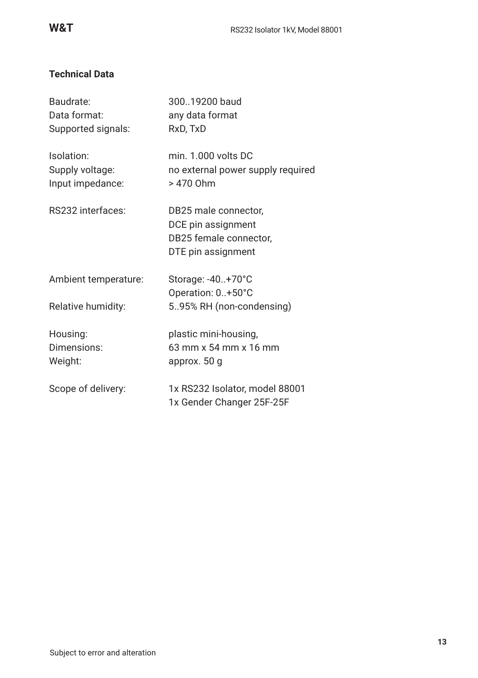### **Technical Data**

| Baudrate:<br>Data format:<br>Supported signals:   | 30019200 baud<br>any data format<br>RxD, TxD                                               |
|---------------------------------------------------|--------------------------------------------------------------------------------------------|
| Isolation:<br>Supply voltage:<br>Input impedance: | min. 1.000 volts DC<br>no external power supply required<br>> 470 Ohm                      |
| RS232 interfaces:                                 | DB25 male connector,<br>DCE pin assignment<br>DB25 female connector,<br>DTE pin assignment |
| Ambient temperature:                              | Storage: -40+70°C<br>Operation: 0+50°C                                                     |
| Relative humidity:                                | 595% RH (non-condensing)                                                                   |
| Housing:<br>Dimensions:<br>Weight:                | plastic mini-housing,<br>63 mm x 54 mm x 16 mm<br>approx. 50 g                             |
| Scope of delivery:                                | 1x RS232 Isolator, model 88001<br>1x Gender Changer 25F-25F                                |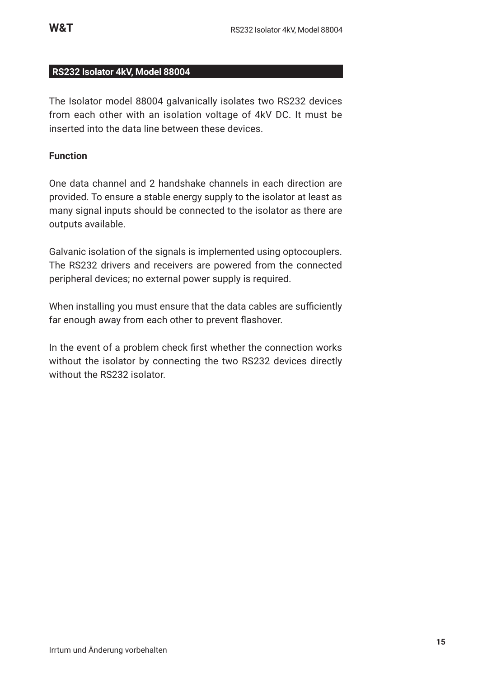#### **RS232 Isolator 4kV, Model 88004**

The Isolator model 88004 galvanically isolates two RS232 devices from each other with an isolation voltage of 4kV DC. It must be inserted into the data line between these devices.

#### **Function**

One data channel and 2 handshake channels in each direction are provided. To ensure a stable energy supply to the isolator at least as many signal inputs should be connected to the isolator as there are outputs available.

Galvanic isolation of the signals is implemented using optocouplers. The RS232 drivers and receivers are powered from the connected peripheral devices; no external power supply is required.

When installing you must ensure that the data cables are sufficiently far enough away from each other to prevent flashover.

In the event of a problem check first whether the connection works without the isolator by connecting the two RS232 devices directly without the RS232 isolator.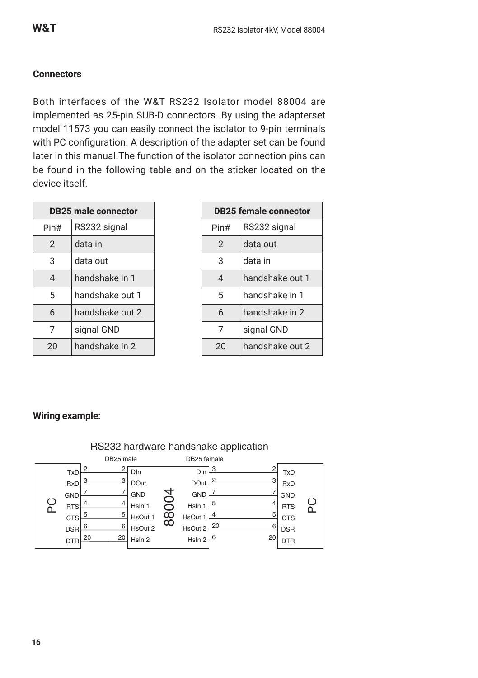#### **Connectors**

Both interfaces of the W&T RS232 Isolator model 88004 are implemented as 25-pin SUB-D connectors. By using the adapterset model 11573 you can easily connect the isolator to 9-pin terminals with PC configuration. A description of the adapter set can be found later in this manual.The function of the isolator connection pins can be found in the following table and on the sticker located on the device itself.

| <b>DB25 male connector</b> |                 |
|----------------------------|-----------------|
| Pin#                       | RS232 signal    |
| $\mathfrak{D}$             | data in         |
| 3                          | data out        |
| 4                          | handshake in 1  |
| 5                          | handshake out 1 |
| 6                          | handshake out 2 |
| 7                          | signal GND      |
| 20                         | handshake in 2  |

| <b>DB25 female connector</b> |                 |
|------------------------------|-----------------|
| Pin#                         | RS232 signal    |
| $\overline{2}$               | data out        |
| 3                            | data in         |
| 4                            | handshake out 1 |
| 5                            | handshake in 1  |
| 6                            | handshake in 2  |
| 7                            | signal GND      |
| 20                           | handshake out 2 |

#### **Wiring example:**

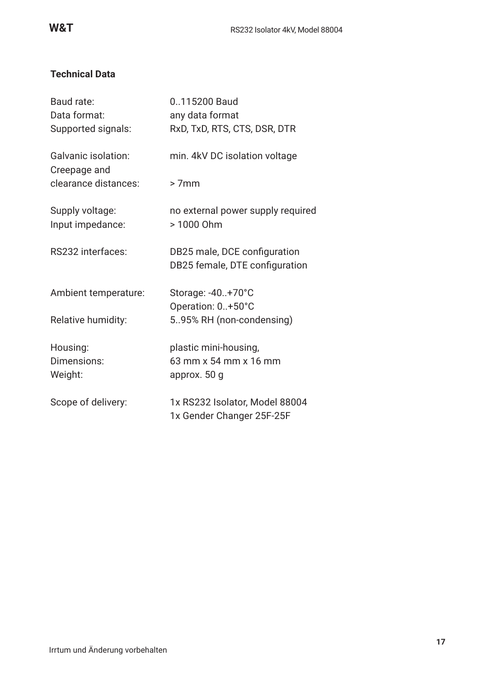### **Technical Data**

| Baud rate:<br>Data format:<br>Supported signals: | 0115200 Baud<br>any data format<br>RxD, TxD, RTS, CTS, DSR, DTR |
|--------------------------------------------------|-----------------------------------------------------------------|
| Galvanic isolation:<br>Creepage and              | min. 4kV DC isolation voltage                                   |
| clearance distances:                             | $>7$ mm                                                         |
| Supply voltage:<br>Input impedance:              | no external power supply required<br>> 1000 Ohm                 |
| RS232 interfaces:                                | DB25 male, DCE configuration<br>DB25 female, DTE configuration  |
| Ambient temperature:                             | Storage: -40+70°C<br>Operation: 0+50°C                          |
| Relative humidity:                               | 595% RH (non-condensing)                                        |
| Housing:<br>Dimensions:<br>Weight:               | plastic mini-housing,<br>63 mm x 54 mm x 16 mm<br>approx. 50 g  |
| Scope of delivery:                               | 1x RS232 Isolator, Model 88004<br>1x Gender Changer 25F-25F     |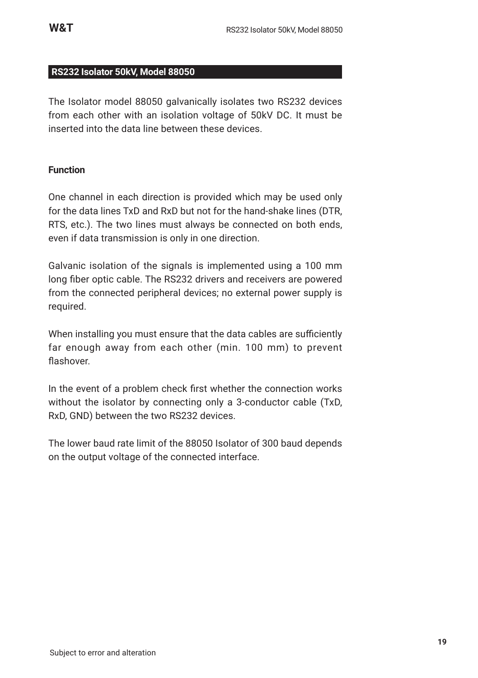#### **RS232 Isolator 50kV, Model 88050**

The Isolator model 88050 galvanically isolates two RS232 devices from each other with an isolation voltage of 50kV DC. It must be inserted into the data line between these devices.

#### **Function**

One channel in each direction is provided which may be used only for the data lines TxD and RxD but not for the hand-shake lines (DTR, RTS, etc.). The two lines must always be connected on both ends, even if data transmission is only in one direction.

Galvanic isolation of the signals is implemented using a 100 mm long fiber optic cable. The RS232 drivers and receivers are powered from the connected peripheral devices; no external power supply is required.

When installing you must ensure that the data cables are sufficiently far enough away from each other (min. 100 mm) to prevent flashover.

In the event of a problem check first whether the connection works without the isolator by connecting only a 3-conductor cable (TxD, RxD, GND) between the two RS232 devices.

The lower baud rate limit of the 88050 Isolator of 300 baud depends on the output voltage of the connected interface.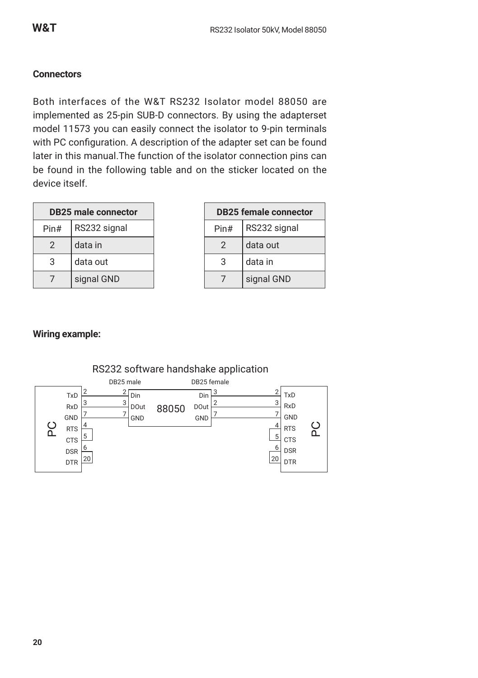#### **Connectors**

Both interfaces of the W&T RS232 Isolator model 88050 are implemented as 25-pin SUB-D connectors. By using the adapterset model 11573 you can easily connect the isolator to 9-pin terminals with PC configuration. A description of the adapter set can be found later in this manual.The function of the isolator connection pins can be found in the following table and on the sticker located on the device itself.

| <b>DB25 male connector</b> |              |
|----------------------------|--------------|
| Pin#                       | RS232 signal |
| $\mathcal{P}$              | data in      |
| 3                          | data out     |
|                            | signal GND   |

| <b>DB25 female connector</b> |              |
|------------------------------|--------------|
| Pin#                         | RS232 signal |
| $\mathcal{P}$                | data out     |
| 3                            | data in      |
|                              | signal GND   |

RTS **CTS** DSR DTR ပ္ဂ

#### **Wiring example:**

RTS C<sub>TS</sub> DSR DTR



### RS232 software handshake application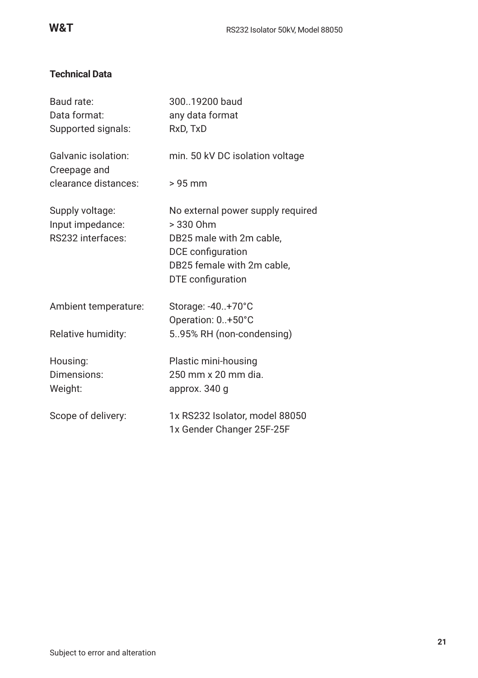### **Technical Data**

| Baud rate:                                               | 30019200 baud                                                                                                                                        |
|----------------------------------------------------------|------------------------------------------------------------------------------------------------------------------------------------------------------|
| Data format:                                             | any data format                                                                                                                                      |
| Supported signals:                                       | RxD, TxD                                                                                                                                             |
| Galvanic isolation:<br>Creepage and                      | min. 50 kV DC isolation voltage                                                                                                                      |
| clearance distances:                                     | $> 95$ mm                                                                                                                                            |
| Supply voltage:<br>Input impedance:<br>RS232 interfaces: | No external power supply required<br>$> 330$ Ohm<br>DB25 male with 2m cable.<br>DCE configuration<br>DB25 female with 2m cable,<br>DTE configuration |
| Ambient temperature:                                     | Storage: -40+70°C<br>Operation: 0+50°C                                                                                                               |
| Relative humidity:                                       | 5.95% RH (non-condensing)                                                                                                                            |
| Housing:<br>Dimensions:<br>Weight:                       | Plastic mini-housing<br>250 mm x 20 mm dia.<br>approx. 340 g                                                                                         |
| Scope of delivery:                                       | 1x RS232 Isolator, model 88050<br>1x Gender Changer 25F-25F                                                                                          |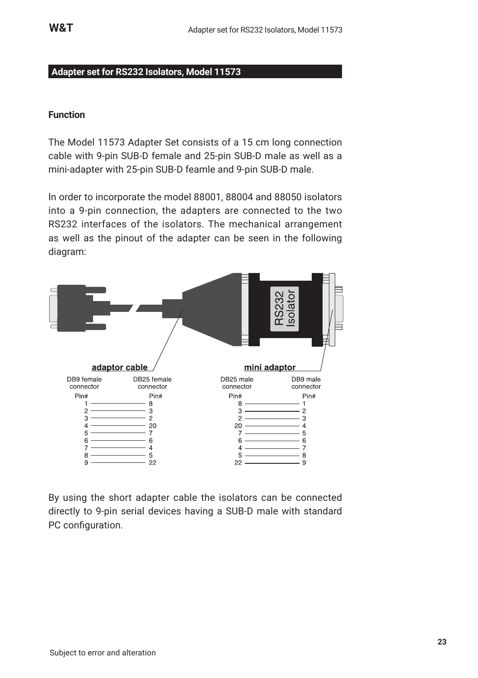#### **Adapter set for RS232 Isolators, Model 11573**

#### **Function**

The Model 11573 Adapter Set consists of a 15 cm long connection cable with 9-pin SUB-D female and 25-pin SUB-D male as well as a mini-adapter with 25-pin SUB-D feamle and 9-pin SUB-D male.

In order to incorporate the model 88001, 88004 and 88050 isolators into a 9-pin connection, the adapters are connected to the two RS232 interfaces of the isolators. The mechanical arrangement as well as the pinout of the adapter can be seen in the following diagram:



By using the short adapter cable the isolators can be connected directly to 9-pin serial devices having a SUB-D male with standard PC configuration.